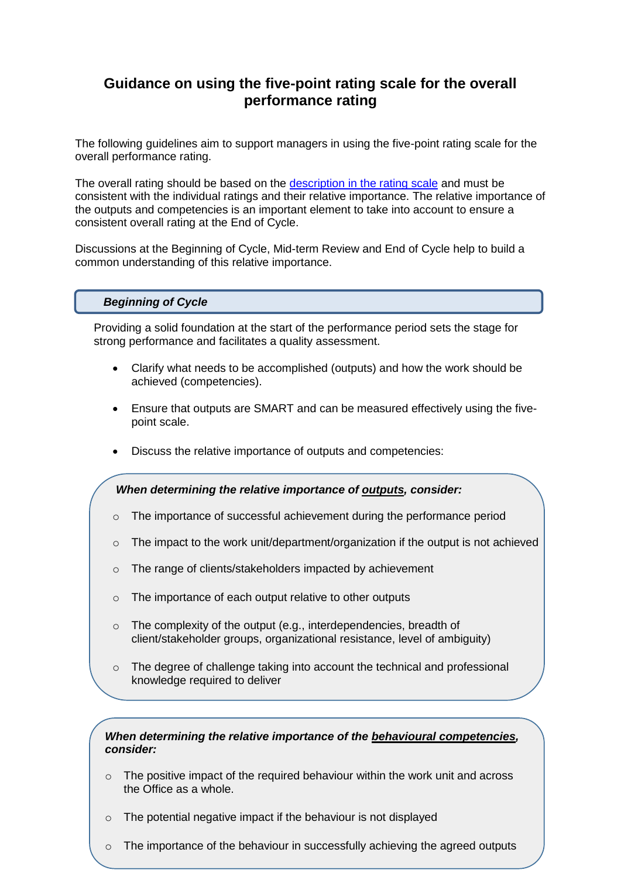# **Guidance on using the five-point rating scale for the overall performance rating**

The following guidelines aim to support managers in using the five-point rating scale for the overall performance rating.

The overall rating should be based on the [description in the rating scale](#page-2-0) and must be consistent with the individual ratings and their relative importance. The relative importance of the outputs and competencies is an important element to take into account to ensure a consistent overall rating at the End of Cycle.

Discussions at the Beginning of Cycle, Mid-term Review and End of Cycle help to build a common understanding of this relative importance.

### *Beginning of Cycle*

Providing a solid foundation at the start of the performance period sets the stage for strong performance and facilitates a quality assessment.

- Clarify what needs to be accomplished (outputs) and how the work should be achieved (competencies).
- Ensure that outputs are SMART and can be measured effectively using the fivepoint scale.
- Discuss the relative importance of outputs and competencies:

#### *When determining the relative importance of outputs, consider:*

- o The importance of successful achievement during the performance period
- o The impact to the work unit/department/organization if the output is not achieved
- o The range of clients/stakeholders impacted by achievement
- o The importance of each output relative to other outputs
- o The complexity of the output (e.g., interdependencies, breadth of client/stakeholder groups, organizational resistance, level of ambiguity)
- $\circ$  The degree of challenge taking into account the technical and professional knowledge required to deliver

#### *When determining the relative importance of the behavioural competencies, consider:*

- $\circ$  The positive impact of the required behaviour within the work unit and across the Office as a whole.
- $\circ$  The potential negative impact if the behaviour is not displayed
- $\circ$  The importance of the behaviour in successfully achieving the agreed outputs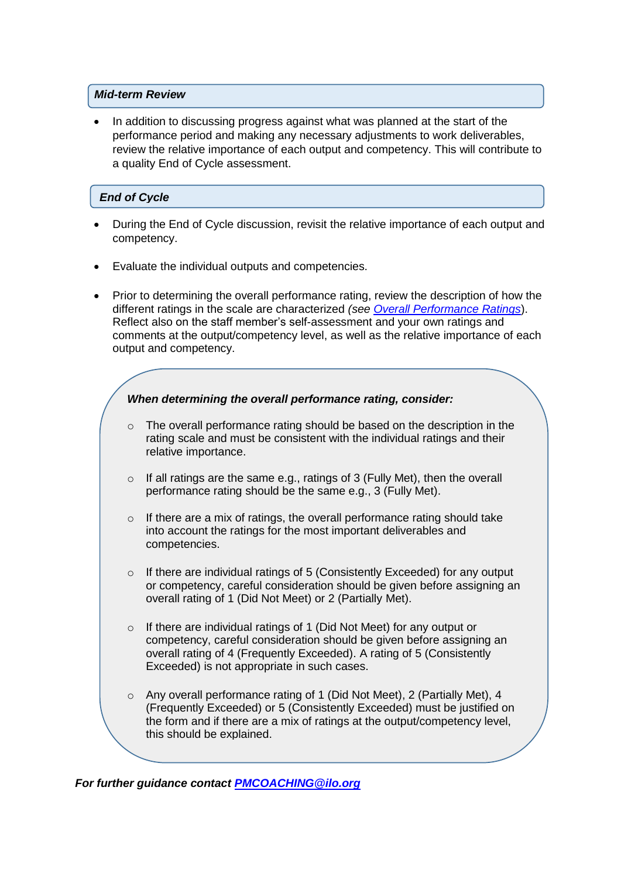### *Mid-term Review*

 In addition to discussing progress against what was planned at the start of the performance period and making any necessary adjustments to work deliverables, review the relative importance of each output and competency. This will contribute to a quality End of Cycle assessment.

## *End of Cycle*

- During the End of Cycle discussion, revisit the relative importance of each output and competency.
- Evaluate the individual outputs and competencies.
- Prior to determining the overall performance rating, review the description of how the different ratings in the scale are characterized *(see [Overall Performance Ratings](#page-2-0)*). Reflect also on the staff member's self-assessment and your own ratings and comments at the output/competency level, as well as the relative importance of each output and competency.



*For further guidance contact [PMCOACHING@ilo.org](mailto:PMCOACHING@ilo.org)*